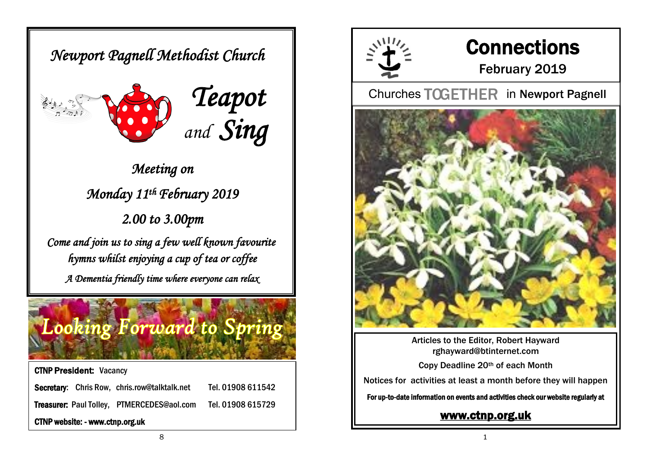*Newport Pagnell Methodist Church* 





*Meeting on Monday 11th February 2019 2.00 to 3.00pm* 

*Come and join us to sing a few well known favourite hymns whilst enjoying a cup of tea or coffee A Dementia friendly time where everyone can relax* 

# **Looking Forward to Spring**

CTNP President: Vacancy Secretary: Chris Row, chris.row@talktalk.net Tel. 01908 611542 Treasurer: Paul Tolley, PTMERCEDES@aol.com Tel. 01908 615729 CTNP website: - www.ctnp.org.uk



# **Connections**

February 2019

**Churches TOGETHER in Newport Pagnell** 



Articles to the Editor, Robert Hayward rghayward@btinternet.com

Copy Deadline 20th of each Month

Notices for activities at least a month before they will happen

For up-to-date information on events and activities check our website regularly at

### [www.ctnp.org.uk](http://www.ctnp.org.uk)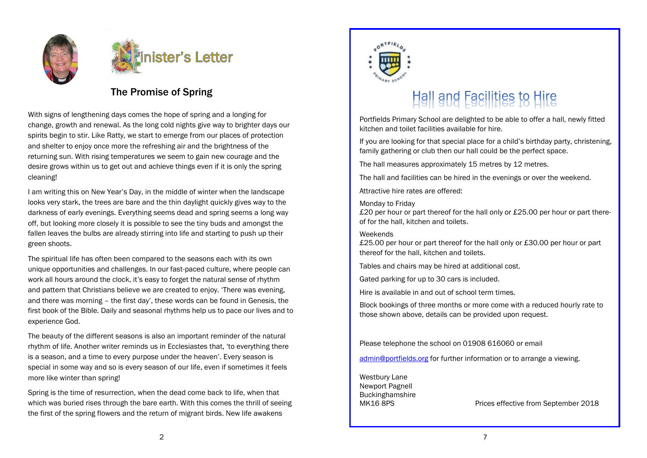



### The Promise of Spring

With signs of lengthening days comes the hope of spring and a longing for change, growth and renewal. As the long cold nights give way to brighter days our spirits begin to stir. Like Ratty, we start to emerge from our places of protection and shelter to enjoy once more the refreshing air and the brightness of the returning sun. With rising temperatures we seem to gain new courage and the desire grows within us to get out and achieve things even if it is only the spring cleaning!

I am writing this on New Year's Day, in the middle of winter when the landscape looks very stark, the trees are bare and the thin daylight quickly gives way to the darkness of early evenings. Everything seems dead and spring seems a long way off, but looking more closely it is possible to see the tiny buds and amongst the fallen leaves the bulbs are already stirring into life and starting to push up their green shoots.

The spiritual life has often been compared to the seasons each with its own unique opportunities and challenges. In our fast-paced culture, where people can work all hours around the clock, it's easy to forget the natural sense of rhythm and pattern that Christians believe we are created to enjoy. 'There was evening, and there was morning – the first day', these words can be found in Genesis, the first book of the Bible. Daily and seasonal rhythms help us to pace our lives and to experience God.

The beauty of the different seasons is also an important reminder of the natural rhythm of life. Another writer reminds us in Ecclesiastes that, 'to everything there is a season, and a time to every purpose under the heaven'. Every season is special in some way and so is every season of our life, even if sometimes it feels more like winter than spring!

Spring is the time of resurrection, when the dead come back to life, when that which was buried rises through the bare earth. With this comes the thrill of seeing the first of the spring flowers and the return of migrant birds. New life awakens



# Hall and Facilities to Hire

Portfields Primary School are delighted to be able to offer a hall, newly fitted kitchen and toilet facilities available for hire.

If you are looking for that special place for a child's birthday party, christening, family gathering or club then our hall could be the perfect space.

The hall measures approximately 15 metres by 12 metres.

The hall and facilities can be hired in the evenings or over the weekend.

Attractive hire rates are offered:

#### Monday to Friday

£20 per hour or part thereof for the hall only or £25.00 per hour or part thereof for the hall, kitchen and toilets.

#### **Weekends**

£25.00 per hour or part thereof for the hall only or £30.00 per hour or part thereof for the hall, kitchen and toilets.

Tables and chairs may be hired at additional cost.

Gated parking for up to 30 cars is included.

Hire is available in and out of school term times.

Block bookings of three months or more come with a reduced hourly rate to those shown above, details can be provided upon request.

Please telephone the school on 01908 616060 or email

[admin@portfields.org](mailto:admin@portfields.org) for further information or to arrange a viewing.

Westbury Lane Newport Pagnell Buckinghamshire

MK16 8PS Prices effective from September 2018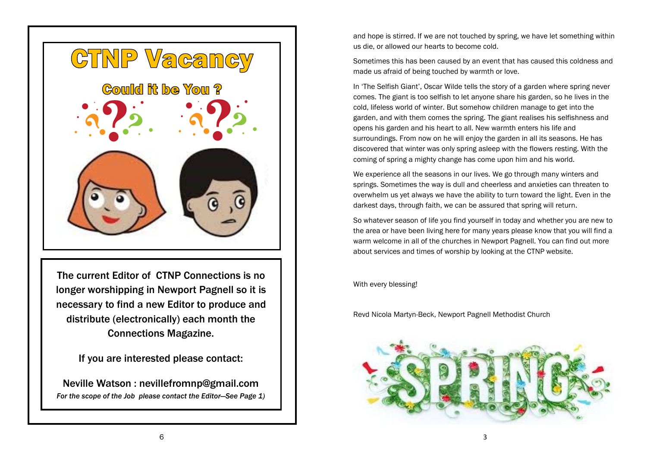

The current Editor of CTNP Connections is no longer worshipping in Newport Pagnell so it is necessary to find a new Editor to produce and distribute (electronically) each month the Connections Magazine.

If you are interested please contact:

Neville Watson : nevillefromnp@gmail.com *For the scope of the Job please contact the Editor—See Page 1)* and hope is stirred. If we are not touched by spring, we have let something within us die, or allowed our hearts to become cold.

Sometimes this has been caused by an event that has caused this coldness and made us afraid of being touched by warmth or love.

In 'The Selfish Giant', Oscar Wilde tells the story of a garden where spring never comes. The giant is too selfish to let anyone share his garden, so he lives in the cold, lifeless world of winter. But somehow children manage to get into the garden, and with them comes the spring. The giant realises his selfishness and opens his garden and his heart to all. New warmth enters his life and surroundings. From now on he will enjoy the garden in all its seasons. He has discovered that winter was only spring asleep with the flowers resting. With the coming of spring a mighty change has come upon him and his world.

We experience all the seasons in our lives. We go through many winters and springs. Sometimes the way is dull and cheerless and anxieties can threaten to overwhelm us yet always we have the ability to turn toward the light. Even in the darkest days, through faith, we can be assured that spring will return.

So whatever season of life you find yourself in today and whether you are new to the area or have been living here for many years please know that you will find a warm welcome in all of the churches in Newport Pagnell. You can find out more about services and times of worship by looking at the CTNP website.

With every blessing!

Revd Nicola Martyn-Beck, Newport Pagnell Methodist Church